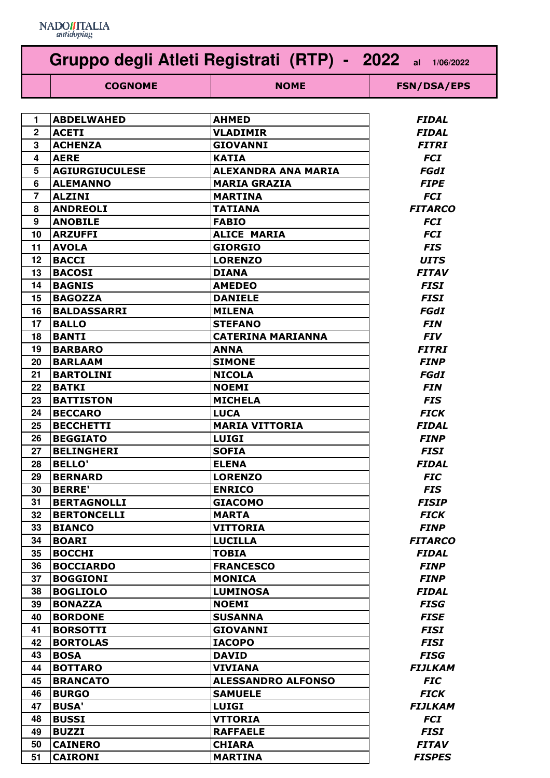

| Gruppo degli Atleti Registrati (RTP) - 2022 al 1/06/2022 |                       |                           |                    |
|----------------------------------------------------------|-----------------------|---------------------------|--------------------|
|                                                          | <b>COGNOME</b>        | <b>NOME</b>               | <b>FSN/DSA/EPS</b> |
|                                                          |                       |                           |                    |
| 1                                                        | <b>ABDELWAHED</b>     | <b>AHMED</b>              | <b>FIDAL</b>       |
| $\mathbf 2$                                              | <b>ACETI</b>          | <b>VLADIMIR</b>           | <b>FIDAL</b>       |
| 3                                                        | <b>ACHENZA</b>        | <b>GIOVANNI</b>           | <b>FITRI</b>       |
| 4                                                        | <b>AERE</b>           | <b>KATIA</b>              | <b>FCI</b>         |
| 5                                                        | <b>AGIURGIUCULESE</b> | ALEXANDRA ANA MARIA       | FGdI               |
| 6                                                        | <b>ALEMANNO</b>       | <b>MARIA GRAZIA</b>       | <b>FIPE</b>        |
| $\overline{7}$                                           | <b>ALZINI</b>         | <b>MARTINA</b>            | <b>FCI</b>         |
| 8                                                        | <b>ANDREOLI</b>       | <b>TATIANA</b>            | <b>FITARCO</b>     |
| 9                                                        | <b>ANOBILE</b>        | <b>FABIO</b>              | <b>FCI</b>         |
| 10                                                       | <b>ARZUFFI</b>        | <b>ALICE MARIA</b>        | <b>FCI</b>         |
| 11                                                       | <b>AVOLA</b>          | <b>GIORGIO</b>            | <b>FIS</b>         |
| 12                                                       | <b>BACCI</b>          | <b>LORENZO</b>            | <b>UITS</b>        |
| 13                                                       | <b>BACOSI</b>         | <b>DIANA</b>              | <b>FITAV</b>       |
| 14                                                       | <b>BAGNIS</b>         | <b>AMEDEO</b>             | <b>FISI</b>        |
| 15                                                       | <b>BAGOZZA</b>        | <b>DANIELE</b>            | <b>FISI</b>        |
| 16                                                       | <b>BALDASSARRI</b>    | <b>MILENA</b>             | FGdI               |
| 17                                                       | <b>BALLO</b>          | <b>STEFANO</b>            | <b>FIN</b>         |
| 18                                                       | <b>BANTI</b>          | <b>CATERINA MARIANNA</b>  | <b>FIV</b>         |
| 19                                                       | <b>BARBARO</b>        | <b>ANNA</b>               | <b>FITRI</b>       |
| 20                                                       | <b>BARLAAM</b>        | <b>SIMONE</b>             | <b>FINP</b>        |
| 21                                                       | <b>BARTOLINI</b>      | <b>NICOLA</b>             | FGdI               |
| 22                                                       | <b>BATKI</b>          | <b>NOEMI</b>              | <b>FIN</b>         |
| 23                                                       | <b>BATTISTON</b>      | <b>MICHELA</b>            | <b>FIS</b>         |
| 24                                                       | <b>BECCARO</b>        | <b>LUCA</b>               | <b>FICK</b>        |
| 25                                                       | <b>BECCHETTI</b>      | <b>MARIA VITTORIA</b>     | <b>FIDAL</b>       |
| 26                                                       | <b>BEGGIATO</b>       | <b>LUIGI</b>              | <b>FINP</b>        |
| 27                                                       | <b>BELINGHERI</b>     | <b>SOFIA</b>              | FISI               |
| 28                                                       | <b>BELLO'</b>         | <b>ELENA</b>              | FIDAL              |
| 29                                                       | <b>BERNARD</b>        | <b>LORENZO</b>            | <b>FIC</b>         |
| 30                                                       | <b>BERRE'</b>         | <b>ENRICO</b>             | <b>FIS</b>         |
| 31                                                       | <b>BERTAGNOLLI</b>    | <b>GIACOMO</b>            | <b>FISIP</b>       |
| 32                                                       | <b>BERTONCELLI</b>    | <b>MARTA</b>              | <b>FICK</b>        |
| 33                                                       | <b>BIANCO</b>         | <b>VITTORIA</b>           | <b>FINP</b>        |
| 34                                                       | <b>BOARI</b>          | <b>LUCILLA</b>            | <b>FITARCO</b>     |
| 35                                                       | <b>BOCCHI</b>         | <b>TOBIA</b>              | <b>FIDAL</b>       |
| 36                                                       | <b>BOCCIARDO</b>      | <b>FRANCESCO</b>          | <b>FINP</b>        |
| 37                                                       | <b>BOGGIONI</b>       | <b>MONICA</b>             | <b>FINP</b>        |
| 38                                                       | <b>BOGLIOLO</b>       | <b>LUMINOSA</b>           | <b>FIDAL</b>       |
| 39                                                       | <b>BONAZZA</b>        | <b>NOEMI</b>              | <b>FISG</b>        |
| 40                                                       | <b>BORDONE</b>        | <b>SUSANNA</b>            | <b>FISE</b>        |
| 41                                                       | <b>BORSOTTI</b>       | <b>GIOVANNI</b>           | <b>FISI</b>        |
| 42                                                       | <b>BORTOLAS</b>       | <b>IACOPO</b>             | <b>FISI</b>        |
| 43                                                       | <b>BOSA</b>           | <b>DAVID</b>              | <b>FISG</b>        |
| 44                                                       | <b>BOTTARO</b>        | <b>VIVIANA</b>            | <b>FIJLKAM</b>     |
| 45                                                       | <b>BRANCATO</b>       | <b>ALESSANDRO ALFONSO</b> | <b>FIC</b>         |
| 46                                                       | <b>BURGO</b>          | <b>SAMUELE</b>            | <b>FICK</b>        |
| 47                                                       | <b>BUSA'</b>          | <b>LUIGI</b>              | <b>FIJLKAM</b>     |
| 48                                                       | <b>BUSSI</b>          | <b>VTTORIA</b>            | <b>FCI</b>         |
| 49                                                       | <b>BUZZI</b>          | <b>RAFFAELE</b>           | <b>FISI</b>        |
| 50                                                       | <b>CAINERO</b>        | <b>CHIARA</b>             | <b>FITAV</b>       |
| 51                                                       | <b>CAIRONI</b>        | <b>MARTINA</b>            | <b>FISPES</b>      |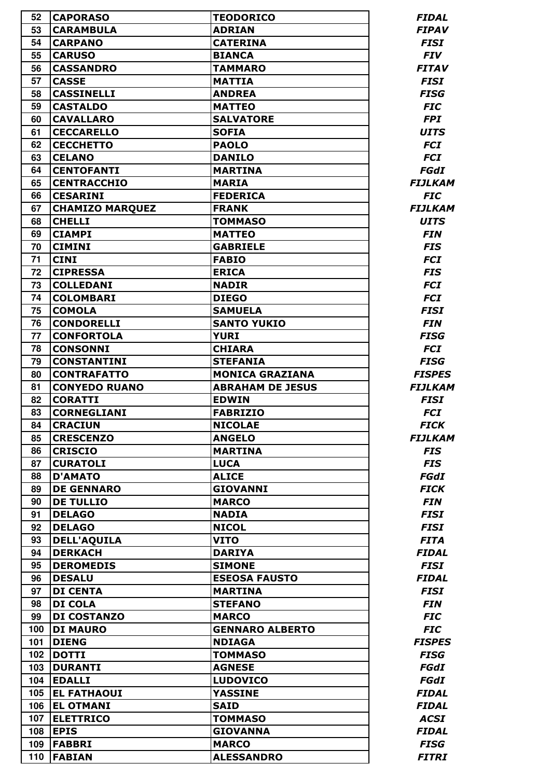| 52       | <b>CAPORASO</b>                      | <b>TEODORICO</b>        | <b>FIDAL</b>        |
|----------|--------------------------------------|-------------------------|---------------------|
| 53       | <b>CARAMBULA</b>                     | <b>ADRIAN</b>           | <b>FIPAV</b>        |
| 54       | <b>CARPANO</b>                       | <b>CATERINA</b>         | <b>FISI</b>         |
| 55       | <b>CARUSO</b>                        | <b>BIANCA</b>           | <b>FIV</b>          |
| 56       | <b>CASSANDRO</b>                     | <b>TAMMARO</b>          | <b>FITAV</b>        |
| 57       | <b>CASSE</b>                         | <b>MATTIA</b>           | <b>FISI</b>         |
| 58       | <b>CASSINELLI</b>                    | <b>ANDREA</b>           | <b>FISG</b>         |
| 59       | <b>CASTALDO</b>                      | <b>MATTEO</b>           | <b>FIC</b>          |
| 60       | <b>CAVALLARO</b>                     | <b>SALVATORE</b>        | <b>FPI</b>          |
| 61       | <b>CECCARELLO</b>                    | <b>SOFIA</b>            | <b>UITS</b>         |
| 62       | <b>CECCHETTO</b>                     | <b>PAOLO</b>            | <b>FCI</b>          |
| 63       | <b>CELANO</b>                        | <b>DANILO</b>           | <b>FCI</b>          |
| 64       | <b>CENTOFANTI</b>                    | <b>MARTINA</b>          | FGdI                |
| 65       | <b>CENTRACCHIO</b>                   | <b>MARIA</b>            | <b>FIJLKAM</b>      |
| 66       | <b>CESARINI</b>                      | <b>FEDERICA</b>         | <b>FIC</b>          |
| 67       | <b>CHAMIZO MARQUEZ</b>               | <b>FRANK</b>            | <b>FIJLKAM</b>      |
| 68       | <b>CHELLI</b>                        | <b>TOMMASO</b>          | <b>UITS</b>         |
| 69       | <b>CIAMPI</b>                        | <b>MATTEO</b>           | <b>FIN</b>          |
| 70       | <b>CIMINI</b>                        | <b>GABRIELE</b>         | <b>FIS</b>          |
| 71       | <b>CINI</b>                          | <b>FABIO</b>            | <b>FCI</b>          |
| 72       | <b>CIPRESSA</b>                      | <b>ERICA</b>            | <b>FIS</b>          |
| 73       | <b>COLLEDANI</b>                     | <b>NADIR</b>            | <b>FCI</b>          |
| 74       | <b>COLOMBARI</b>                     | <b>DIEGO</b>            | <b>FCI</b>          |
| 75       | <b>COMOLA</b>                        |                         |                     |
|          |                                      | <b>SAMUELA</b>          | <b>FISI</b>         |
| 76       | <b>CONDORELLI</b>                    | <b>SANTO YUKIO</b>      | <b>FIN</b>          |
| 77       | <b>CONFORTOLA</b>                    | <b>YURI</b>             | <b>FISG</b>         |
| 78<br>79 | <b>CONSONNI</b>                      | <b>CHIARA</b>           | <b>FCI</b>          |
|          | <b>CONSTANTINI</b>                   | <b>STEFANIA</b>         | <b>FISG</b>         |
| 80       | <b>CONTRAFATTO</b>                   | <b>MONICA GRAZIANA</b>  | <b>FISPES</b>       |
| 81       | <b>CONYEDO RUANO</b>                 | <b>ABRAHAM DE JESUS</b> | <b>FIJLKAM</b>      |
| 82       | <b>CORATTI</b><br><b>CORNEGLIANI</b> | <b>EDWIN</b>            | <b>FISI</b>         |
| 83<br>84 |                                      | <b>FABRIZIO</b>         | <b>FCI</b>          |
|          | <b>CRACIUN</b>                       | <b>NICOLAE</b>          | <b>FICK</b>         |
| 85       | <b>CRESCENZO</b>                     | <b>ANGELO</b>           | <b>FIJLKAM</b>      |
| 86       | <b>CRISCIO</b>                       | <b>MARTINA</b>          | <b>FIS</b>          |
| 87       | <b>CURATOLI</b>                      | <b>LUCA</b>             | <b>FIS</b>          |
| 88       | <b>D'AMATO</b>                       | <b>ALICE</b>            | FGdI                |
| 89       | <b>DE GENNARO</b>                    | <b>GIOVANNI</b>         | <b>FICK</b>         |
| 90       | <b>DE TULLIO</b>                     | <b>MARCO</b>            | <b>FIN</b>          |
| 91       | <b>DELAGO</b>                        | <b>NADIA</b>            | <b>FISI</b>         |
| 92       | <b>DELAGO</b>                        | <b>NICOL</b>            | <b>FISI</b>         |
| 93       | <b>DELL'AQUILA</b>                   | <b>VITO</b>             | <b>FITA</b>         |
| 94       | <b>DERKACH</b>                       | <b>DARIYA</b>           | <b>FIDAL</b>        |
| 95       | <b>DEROMEDIS</b>                     | <b>SIMONE</b>           | <b>FISI</b>         |
| 96       | <b>DESALU</b>                        | <b>ESEOSA FAUSTO</b>    | <b>FIDAL</b>        |
| 97       | <b>DI CENTA</b>                      | <b>MARTINA</b>          | <b>FISI</b>         |
| 98       | <b>DI COLA</b>                       | <b>STEFANO</b>          | <b>FIN</b>          |
| 99       | <b>DI COSTANZO</b>                   | <b>MARCO</b>            | <b>FIC</b>          |
| 100      | <b>DI MAURO</b>                      | <b>GENNARO ALBERTO</b>  | <b>FIC</b>          |
| 101      | <b>DIENG</b>                         | <b>NDIAGA</b>           | <b>FISPES</b>       |
| 102      | <b>DOTTI</b>                         | <b>TOMMASO</b>          | <b>FISG</b>         |
| 103      | <b>DURANTI</b>                       | <b>AGNESE</b>           | FGdI                |
| 104      | <b>EDALLI</b>                        | <b>LUDOVICO</b>         | FGdI                |
| 105      | <b>EL FATHAOUI</b>                   | <b>YASSINE</b>          | <b>FIDAL</b>        |
| 106      | <b>EL OTMANI</b>                     | <b>SAID</b>             | <b>FIDAL</b>        |
| 107      | <b>ELETTRICO</b>                     | <b>TOMMASO</b>          | <b>ACSI</b>         |
| 108      | <b>EPIS</b>                          | <b>GIOVANNA</b>         | <b>FIDAL</b>        |
| 109      | <b>FABBRI</b>                        | <b>MARCO</b>            | <b>FISG</b>         |
| 110      | <b>FABIAN</b>                        | <b>ALESSANDRO</b>       | <i><b>FITRI</b></i> |
|          |                                      |                         |                     |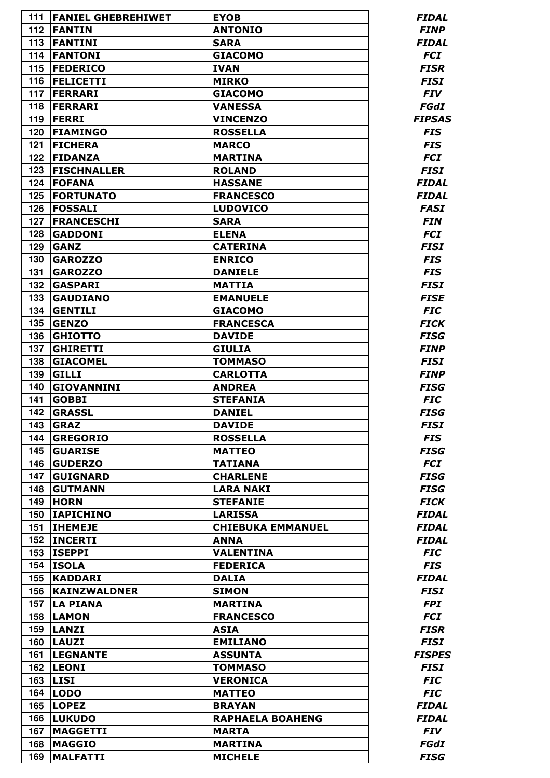| 111 | <b>FANIEL GHEBREHIWET</b> | <b>EYOB</b>              | <b>FIDAL</b>  |
|-----|---------------------------|--------------------------|---------------|
| 112 | <b>FANTIN</b>             | <b>ANTONIO</b>           | <b>FINP</b>   |
| 113 | <b>FANTINI</b>            | <b>SARA</b>              | <b>FIDAL</b>  |
| 114 | <b>FANTONI</b>            | <b>GIACOMO</b>           | <b>FCI</b>    |
| 115 | <b>FEDERICO</b>           | <b>IVAN</b>              | <b>FISR</b>   |
| 116 | <b>FELICETTI</b>          | <b>MIRKO</b>             | <b>FISI</b>   |
| 117 | <b>FERRARI</b>            | <b>GIACOMO</b>           | <b>FIV</b>    |
| 118 | <b>FERRARI</b>            | <b>VANESSA</b>           | <b>FGdI</b>   |
| 119 | <b>FERRI</b>              | <b>VINCENZO</b>          | <b>FIPSAS</b> |
| 120 | <b>FIAMINGO</b>           | <b>ROSSELLA</b>          | <b>FIS</b>    |
| 121 | <b>FICHERA</b>            | <b>MARCO</b>             | <b>FIS</b>    |
| 122 | <b>FIDANZA</b>            | <b>MARTINA</b>           | <b>FCI</b>    |
| 123 | <b>FISCHNALLER</b>        | <b>ROLAND</b>            | <b>FISI</b>   |
| 124 | <b>FOFANA</b>             | <b>HASSANE</b>           | <b>FIDAL</b>  |
| 125 | <b>FORTUNATO</b>          | <b>FRANCESCO</b>         | <b>FIDAL</b>  |
| 126 | <b>FOSSALI</b>            | <b>LUDOVICO</b>          | <b>FASI</b>   |
| 127 | <b>FRANCESCHI</b>         | <b>SARA</b>              | <b>FIN</b>    |
| 128 | <b>GADDONI</b>            | <b>ELENA</b>             | <b>FCI</b>    |
| 129 | <b>GANZ</b>               | <b>CATERINA</b>          | <b>FISI</b>   |
| 130 | <b>GAROZZO</b>            | <b>ENRICO</b>            | <b>FIS</b>    |
| 131 | <b>GAROZZO</b>            | <b>DANIELE</b>           | <b>FIS</b>    |
| 132 | <b>GASPARI</b>            | <b>MATTIA</b>            | <b>FISI</b>   |
| 133 | <b>GAUDIANO</b>           | <b>EMANUELE</b>          | <b>FISE</b>   |
| 134 | <b>GENTILI</b>            | <b>GIACOMO</b>           | <b>FIC</b>    |
| 135 | <b>GENZO</b>              | <b>FRANCESCA</b>         | <b>FICK</b>   |
| 136 | <b>GHIOTTO</b>            | <b>DAVIDE</b>            | <b>FISG</b>   |
| 137 | <b>GHIRETTI</b>           | <b>GIULIA</b>            | <b>FINP</b>   |
| 138 | <b>GIACOMEL</b>           | <b>TOMMASO</b>           | <b>FISI</b>   |
| 139 | <b>GILLI</b>              | <b>CARLOTTA</b>          | <b>FINP</b>   |
| 140 | <b>GIOVANNINI</b>         | <b>ANDREA</b>            | <b>FISG</b>   |
| 141 | <b>GOBBI</b>              | <b>STEFANIA</b>          | <b>FIC</b>    |
| 142 | <b>GRASSL</b>             | <b>DANIEL</b>            | <b>FISG</b>   |
| 143 | <b>GRAZ</b>               | <b>DAVIDE</b>            | <b>FISI</b>   |
| 144 | <b>GREGORIO</b>           | <b>ROSSELLA</b>          | <b>FIS</b>    |
| 145 | <b>GUARISE</b>            | <b>MATTEO</b>            | <b>FISG</b>   |
| 146 | <b>GUDERZO</b>            | <b>TATIANA</b>           | <b>FCI</b>    |
| 147 | <b>GUIGNARD</b>           | <b>CHARLENE</b>          | <b>FISG</b>   |
| 148 | <b>GUTMANN</b>            | <b>LARA NAKI</b>         | <b>FISG</b>   |
| 149 | <b>HORN</b>               | <b>STEFANIE</b>          | <b>FICK</b>   |
| 150 | <b>IAPICHINO</b>          | <b>LARISSA</b>           | <b>FIDAL</b>  |
| 151 | <b>IHEMEJE</b>            | <b>CHIEBUKA EMMANUEL</b> | <b>FIDAL</b>  |
| 152 | <b>INCERTI</b>            | <b>ANNA</b>              | <b>FIDAL</b>  |
| 153 | <b>ISEPPI</b>             | <b>VALENTINA</b>         | <b>FIC</b>    |
| 154 | <b>ISOLA</b>              | <b>FEDERICA</b>          | <b>FIS</b>    |
| 155 | <b>KADDARI</b>            | <b>DALIA</b>             | <b>FIDAL</b>  |
| 156 | <b>KAINZWALDNER</b>       | <b>SIMON</b>             | <b>FISI</b>   |
| 157 | <b>LA PIANA</b>           | <b>MARTINA</b>           | <b>FPI</b>    |
| 158 | <b>LAMON</b>              | <b>FRANCESCO</b>         | <b>FCI</b>    |
| 159 | <b>LANZI</b>              | <b>ASIA</b>              | <b>FISR</b>   |
| 160 | <b>LAUZI</b>              | <b>EMILIANO</b>          | <b>FISI</b>   |
| 161 | <b>LEGNANTE</b>           | <b>ASSUNTA</b>           | <b>FISPES</b> |
| 162 | <b>LEONI</b>              | <b>TOMMASO</b>           | <b>FISI</b>   |
| 163 | <b>LISI</b>               | <b>VERONICA</b>          | <b>FIC</b>    |
| 164 | <b>LODO</b>               | <b>MATTEO</b>            | <b>FIC</b>    |
| 165 | <b>LOPEZ</b>              | <b>BRAYAN</b>            | <b>FIDAL</b>  |
| 166 | <b>LUKUDO</b>             | <b>RAPHAELA BOAHENG</b>  | <b>FIDAL</b>  |
| 167 | <b>MAGGETTI</b>           | <b>MARTA</b>             | <b>FIV</b>    |
| 168 | <b>MAGGIO</b>             | <b>MARTINA</b>           | <b>FGdI</b>   |
| 169 | <b>MALFATTI</b>           | <b>MICHELE</b>           | <b>FISG</b>   |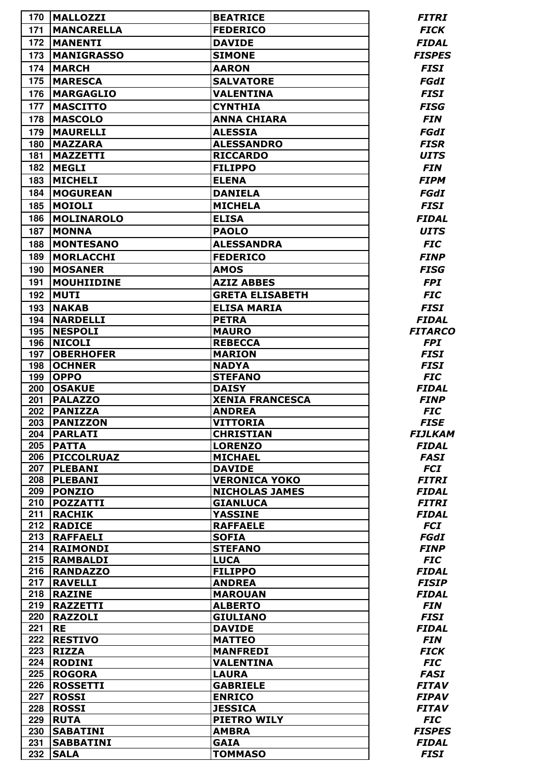| 170        | <b>MALLOZZI</b>                   | <b>BEATRICE</b>                      | <i><b>FITRI</b></i>            |
|------------|-----------------------------------|--------------------------------------|--------------------------------|
| 171        | <b>MANCARELLA</b>                 | <b>FEDERICO</b>                      | <b>FICK</b>                    |
| 172        | <b>MANENTI</b>                    | <b>DAVIDE</b>                        | <b>FIDAL</b>                   |
| 173        | <b>MANIGRASSO</b>                 | <b>SIMONE</b>                        | <b>FISPES</b>                  |
| 174        | <b>MARCH</b>                      | <b>AARON</b>                         | <b>FISI</b>                    |
| 175        | <b>MARESCA</b>                    | <b>SALVATORE</b>                     | FGdI                           |
| 176        | <b>MARGAGLIO</b>                  | <b>VALENTINA</b>                     | <b>FISI</b>                    |
| 177        | <b>MASCITTO</b>                   | <b>CYNTHIA</b>                       | <b>FISG</b>                    |
| 178        | <b>MASCOLO</b>                    | <b>ANNA CHIARA</b>                   | <b>FIN</b>                     |
| 179        | <b>MAURELLI</b>                   | <b>ALESSIA</b>                       | <b>FGdI</b>                    |
| 180        | <b>MAZZARA</b>                    | <b>ALESSANDRO</b>                    | <b>FISR</b>                    |
| 181        | <b>MAZZETTI</b>                   | <b>RICCARDO</b>                      | <b>UITS</b>                    |
| 182        | <b>MEGLI</b>                      | <b>FILIPPO</b>                       | <b>FIN</b>                     |
|            |                                   |                                      |                                |
| 183        | <b>MICHELI</b>                    | <b>ELENA</b>                         | <b>FIPM</b>                    |
| 184        | <b>MOGUREAN</b>                   | <b>DANIELA</b>                       | FGdI                           |
| 185        | <b>MOIOLI</b>                     | <b>MICHELA</b>                       | <b>FISI</b>                    |
| 186        | <b>MOLINAROLO</b>                 | <b>ELISA</b>                         | <b>FIDAL</b>                   |
| 187        | <b>MONNA</b>                      | <b>PAOLO</b>                         | <b>UITS</b>                    |
| 188        | <b>MONTESANO</b>                  | <b>ALESSANDRA</b>                    | <b>FIC</b>                     |
| 189        | <b>MORLACCHI</b>                  | <b>FEDERICO</b>                      | <b>FINP</b>                    |
| 190        | <b>MOSANER</b>                    | <b>AMOS</b>                          | <b>FISG</b>                    |
| 191        | <b>MOUHIIDINE</b>                 | <b>AZIZ ABBES</b>                    | <b>FPI</b>                     |
| 192        | <b>MUTI</b>                       | <b>GRETA ELISABETH</b>               | <b>FIC</b>                     |
|            | <b>NAKAB</b>                      | <b>ELISA MARIA</b>                   | <b>FISI</b>                    |
| 193        |                                   |                                      |                                |
| 194<br>195 | <b>NARDELLI</b><br><b>NESPOLI</b> | <b>PETRA</b>                         | <b>FIDAL</b><br><b>FITARCO</b> |
| 196        | <b>NICOLI</b>                     | <b>MAURO</b><br><b>REBECCA</b>       | <b>FPI</b>                     |
| 197        | <b>OBERHOFER</b>                  | <b>MARION</b>                        | <b>FISI</b>                    |
| 198        | <b>OCHNER</b>                     | <b>NADYA</b>                         | <b>FISI</b>                    |
| 199        | <b>OPPO</b>                       | <b>STEFANO</b>                       | <b>FIC</b>                     |
| 200        | <b>OSAKUE</b>                     | <b>DAISY</b>                         | <b>FIDAL</b>                   |
| 201        | <b>PALAZZO</b>                    | <b>XENIA FRANCESCA</b>               | <b>FINP</b>                    |
| 202        | <b>PANIZZA</b>                    | <b>ANDREA</b>                        | <b>FIC</b>                     |
|            | 203 PANIZZON                      | <b>VITTORIA</b>                      | <b>FISE</b>                    |
| 204        | <b>PARLATI</b>                    | <b>CHRISTIAN</b>                     | <b>FIJLKAM</b>                 |
| 205        | <b>PATTA</b>                      | <b>LORENZO</b>                       | <b>FIDAL</b>                   |
| 206        | <b>PICCOLRUAZ</b>                 | <b>MICHAEL</b>                       | <b>FASI</b>                    |
| 207        | <b>PLEBANI</b>                    | <b>DAVIDE</b>                        | <b>FCI</b>                     |
| 208        | <b>PLEBANI</b>                    | <b>VERONICA YOKO</b>                 | <b>FITRI</b>                   |
| 209        | <b>PONZIO</b>                     | <b>NICHOLAS JAMES</b>                | <b>FIDAL</b>                   |
| 210        | <b>POZZATTI</b>                   | <b>GIANLUCA</b>                      | <b>FITRI</b>                   |
| 211        | <b>RACHIK</b>                     | <b>YASSINE</b>                       | <b>FIDAL</b>                   |
| 212        | <b>RADICE</b>                     | <b>RAFFAELE</b>                      | <b>FCI</b>                     |
| 213        | <b>RAFFAELI</b>                   | <b>SOFIA</b>                         | FGdI                           |
| 214        | <b>RAIMONDI</b>                   | <b>STEFANO</b>                       | <b>FINP</b>                    |
| 215        | <b>RAMBALDI</b>                   | <b>LUCA</b>                          | <b>FIC</b>                     |
| 216        | <b>RANDAZZO</b>                   | <b>FILIPPO</b>                       | <b>FIDAL</b>                   |
| 217        | <b>RAVELLI</b>                    | <b>ANDREA</b>                        | <b>FISIP</b>                   |
| 218        | <b>RAZINE</b>                     | <b>MAROUAN</b>                       | <b>FIDAL</b>                   |
| 219        | <b>RAZZETTI</b>                   | <b>ALBERTO</b>                       | <b>FIN</b>                     |
| 220        | <b>RAZZOLI</b>                    | <b>GIULIANO</b>                      | <b>FISI</b>                    |
| 221        | <b>RE</b>                         | <b>DAVIDE</b>                        | <b>FIDAL</b>                   |
| 222        | <b>RESTIVO</b>                    | <b>MATTEO</b>                        | <b>FIN</b>                     |
| 223        | <b>RIZZA</b>                      | <b>MANFREDI</b>                      | <b>FICK</b>                    |
| 224        | <b>RODINI</b>                     | <b>VALENTINA</b>                     | <b>FIC</b>                     |
| 225        | <b>ROGORA</b>                     | <b>LAURA</b>                         | <b>FASI</b>                    |
| 226        | <b>ROSSETTI</b>                   | <b>GABRIELE</b>                      | <b>FITAV</b>                   |
| 227        | <b>ROSSI</b>                      | <b>ENRICO</b>                        | <b>FIPAV</b>                   |
| 228        | <b>ROSSI</b><br><b>RUTA</b>       | <b>JESSICA</b><br><b>PIETRO WILY</b> | <b>FITAV</b>                   |
| 229<br>230 | <b>SABATINI</b>                   | <b>AMBRA</b>                         | <b>FIC</b><br><b>FISPES</b>    |
| 231        | <b>SABBATINI</b>                  | <b>GAIA</b>                          | <b>FIDAL</b>                   |
| 232        | <b>SALA</b>                       | <b>TOMMASO</b>                       | <b>FISI</b>                    |
|            |                                   |                                      |                                |